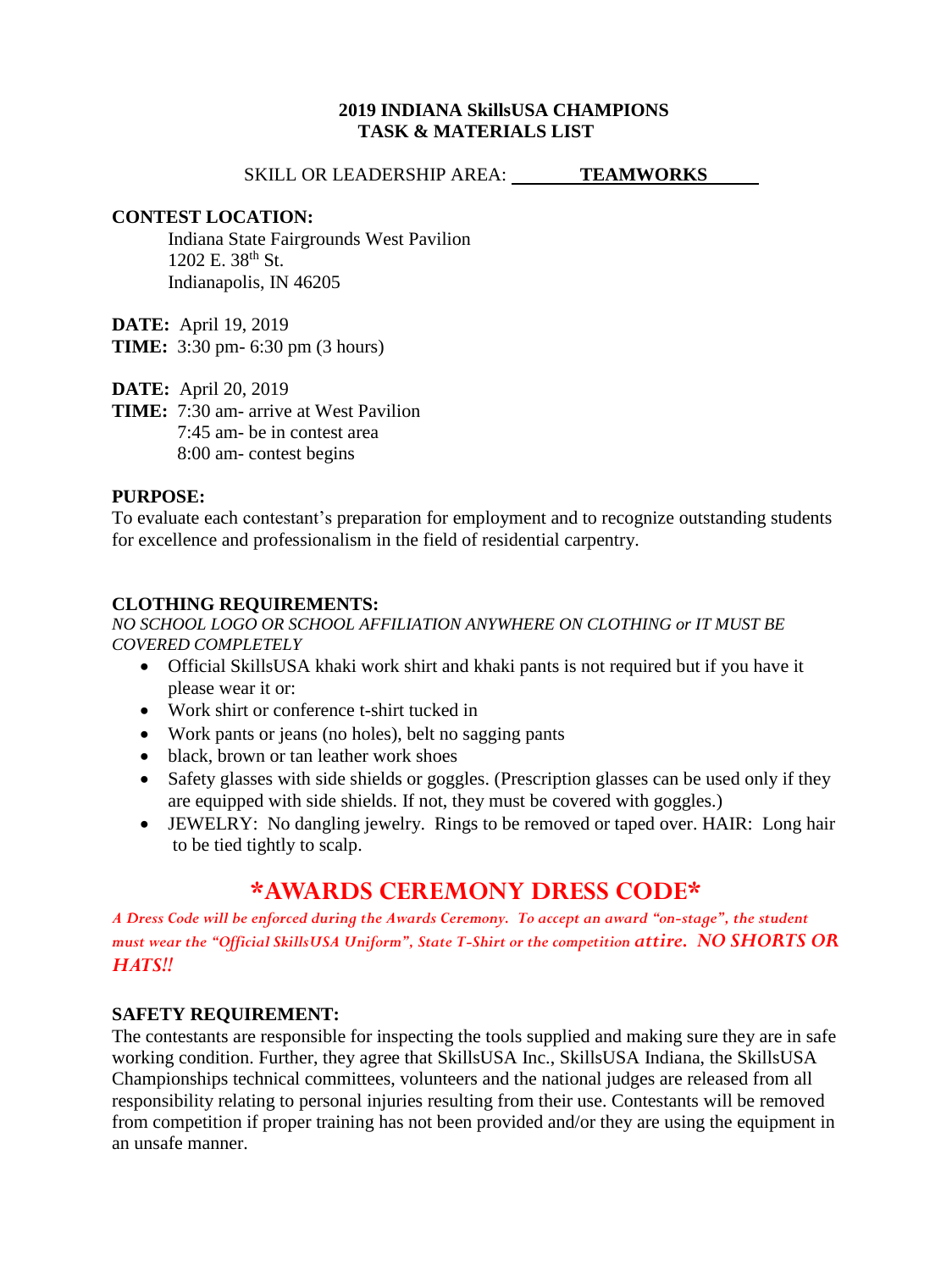#### **2019 INDIANA SkillsUSA CHAMPIONS TASK & MATERIALS LIST**

SKILL OR LEADERSHIP AREA: **TEAMWORKS** 

#### **CONTEST LOCATION:**

Indiana State Fairgrounds West Pavilion  $1202$  E.  $38^{th}$  St. Indianapolis, IN 46205

**DATE:** April 19, 2019

**TIME:** 3:30 pm- 6:30 pm (3 hours)

**DATE:** April 20, 2019

**TIME:** 7:30 am- arrive at West Pavilion 7:45 am- be in contest area 8:00 am- contest begins

### **PURPOSE:**

To evaluate each contestant's preparation for employment and to recognize outstanding students for excellence and professionalism in the field of residential carpentry.

## **CLOTHING REQUIREMENTS:**

*NO SCHOOL LOGO OR SCHOOL AFFILIATION ANYWHERE ON CLOTHING or IT MUST BE COVERED COMPLETELY*

- Official SkillsUSA khaki work shirt and khaki pants is not required but if you have it please wear it or:
- Work shirt or conference t-shirt tucked in
- Work pants or jeans (no holes), belt no sagging pants
- black, brown or tan leather work shoes
- Safety glasses with side shields or goggles. (Prescription glasses can be used only if they are equipped with side shields. If not, they must be covered with goggles.)
- JEWELRY: No dangling jewelry. Rings to be removed or taped over. HAIR: Long hair to be tied tightly to scalp.

# **\*AWARDS CEREMONY DRESS CODE\***

*A Dress Code will be enforced during the Awards Ceremony. To accept an award "on-stage", the student must wear the "Official SkillsUSA Uniform", State T-Shirt or the competition attire. NO SHORTS OR HATS!!*

### **SAFETY REQUIREMENT:**

The contestants are responsible for inspecting the tools supplied and making sure they are in safe working condition. Further, they agree that SkillsUSA Inc., SkillsUSA Indiana, the SkillsUSA Championships technical committees, volunteers and the national judges are released from all responsibility relating to personal injuries resulting from their use. Contestants will be removed from competition if proper training has not been provided and/or they are using the equipment in an unsafe manner.